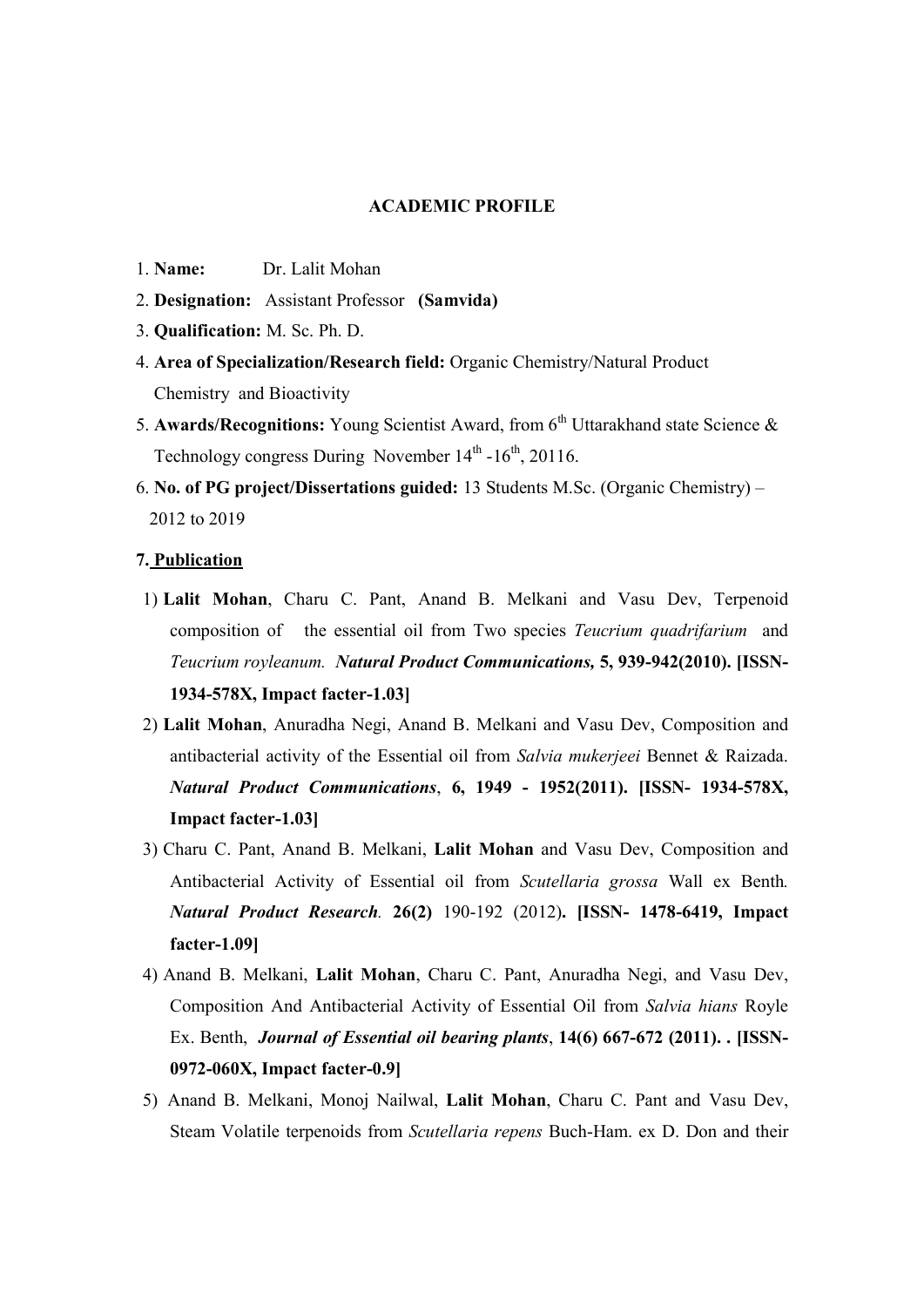## ACADEMIC PROFILE

- 1. Name: Dr. Lalit Mohan
- 2. Designation: Assistant Professor (Samvida)
- 3. Qualification: M. Sc. Ph. D.
- 4. Area of Specialization/Research field: Organic Chemistry/Natural Product Chemistry and Bioactivity
- 5. Awards/Recognitions: Young Scientist Award, from  $6<sup>th</sup>$  Uttarakhand state Science & Technology congress During November  $14<sup>th</sup> - 16<sup>th</sup>$ , 20116.
- 6. No. of PG project/Dissertations guided: 13 Students M.Sc. (Organic Chemistry) 2012 to 2019

## 7. Publication

- 1) Lalit Mohan, Charu C. Pant, Anand B. Melkani and Vasu Dev, Terpenoid composition of the essential oil from Two species Teucrium quadrifarium and Teucrium royleanum. Natural Product Communications, 5, 939-942(2010). [ISSN-1934-578X, Impact facter-1.03]
- 2) Lalit Mohan, Anuradha Negi, Anand B. Melkani and Vasu Dev, Composition and antibacterial activity of the Essential oil from Salvia mukerjeei Bennet & Raizada. Natural Product Communications, 6, 1949 - 1952(2011). [ISSN- 1934-578X, Impact facter-1.03]
- 3) Charu C. Pant, Anand B. Melkani, Lalit Mohan and Vasu Dev, Composition and Antibacterial Activity of Essential oil from Scutellaria grossa Wall ex Benth. Natural Product Research. 26(2) 190-192 (2012). [ISSN- 1478-6419, Impact facter-1.09]
- 4) Anand B. Melkani, Lalit Mohan, Charu C. Pant, Anuradha Negi, and Vasu Dev, Composition And Antibacterial Activity of Essential Oil from Salvia hians Royle Ex. Benth, Journal of Essential oil bearing plants, 14(6) 667-672 (2011). . [ISSN-0972-060X, Impact facter-0.9]
- 5) Anand B. Melkani, Monoj Nailwal, Lalit Mohan, Charu C. Pant and Vasu Dev, Steam Volatile terpenoids from Scutellaria repens Buch-Ham. ex D. Don and their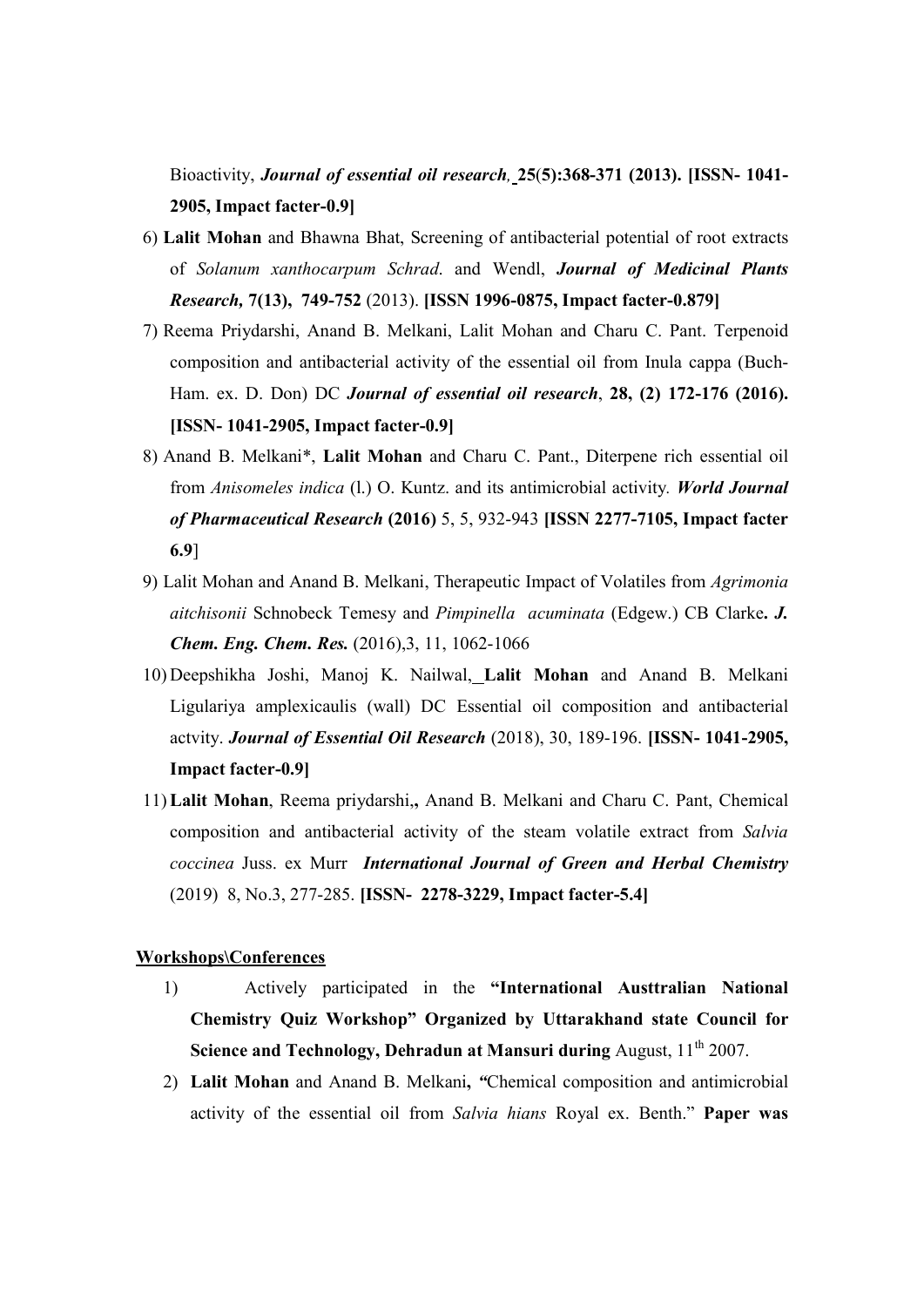Bioactivity, *Journal of essential oil research*, 25(5):368-371 (2013). [ISSN- 1041-2905, Impact facter-0.9]

- 6) Lalit Mohan and Bhawna Bhat, Screening of antibacterial potential of root extracts of Solanum xanthocarpum Schrad. and Wendl, Journal of Medicinal Plants Research, 7(13), 749-752 (2013). [ISSN 1996-0875, Impact facter-0.879]
- 7) Reema Priydarshi, Anand B. Melkani, Lalit Mohan and Charu C. Pant. Terpenoid composition and antibacterial activity of the essential oil from Inula cappa (Buch-Ham. ex. D. Don) DC Journal of essential oil research, 28, (2) 172-176 (2016). [ISSN- 1041-2905, Impact facter-0.9]
- 8) Anand B. Melkani\*, Lalit Mohan and Charu C. Pant., Diterpene rich essential oil from Anisomeles indica (l.) O. Kuntz. and its antimicrobial activity. World Journal of Pharmaceutical Research (2016) 5, 5, 932-943 [ISSN 2277-7105, Impact facter 6.9]
- 9) Lalit Mohan and Anand B. Melkani, Therapeutic Impact of Volatiles from Agrimonia aitchisonii Schnobeck Temesy and Pimpinella acuminata (Edgew.) CB Clarke. J. Chem. Eng. Chem. Res. (2016),3, 11, 1062-1066
- 10) Deepshikha Joshi, Manoj K. Nailwal, Lalit Mohan and Anand B. Melkani Ligulariya amplexicaulis (wall) DC Essential oil composition and antibacterial actvity. Journal of Essential Oil Research (2018), 30, 189-196. [ISSN- 1041-2905, Impact facter-0.9]
- 11) Lalit Mohan, Reema priydarshi,, Anand B. Melkani and Charu C. Pant, Chemical composition and antibacterial activity of the steam volatile extract from Salvia coccinea Juss. ex Murr International Journal of Green and Herbal Chemistry (2019) 8, No.3, 277-285. [ISSN- 2278-3229, Impact facter-5.4]

#### Workshops\Conferences

- 1) Actively participated in the "International Austtralian National Chemistry Quiz Workshop" Organized by Uttarakhand state Council for Science and Technology, Dehradun at Mansuri during August, 11<sup>th</sup> 2007.
- 2) Lalit Mohan and Anand B. Melkani, "Chemical composition and antimicrobial activity of the essential oil from Salvia hians Royal ex. Benth." Paper was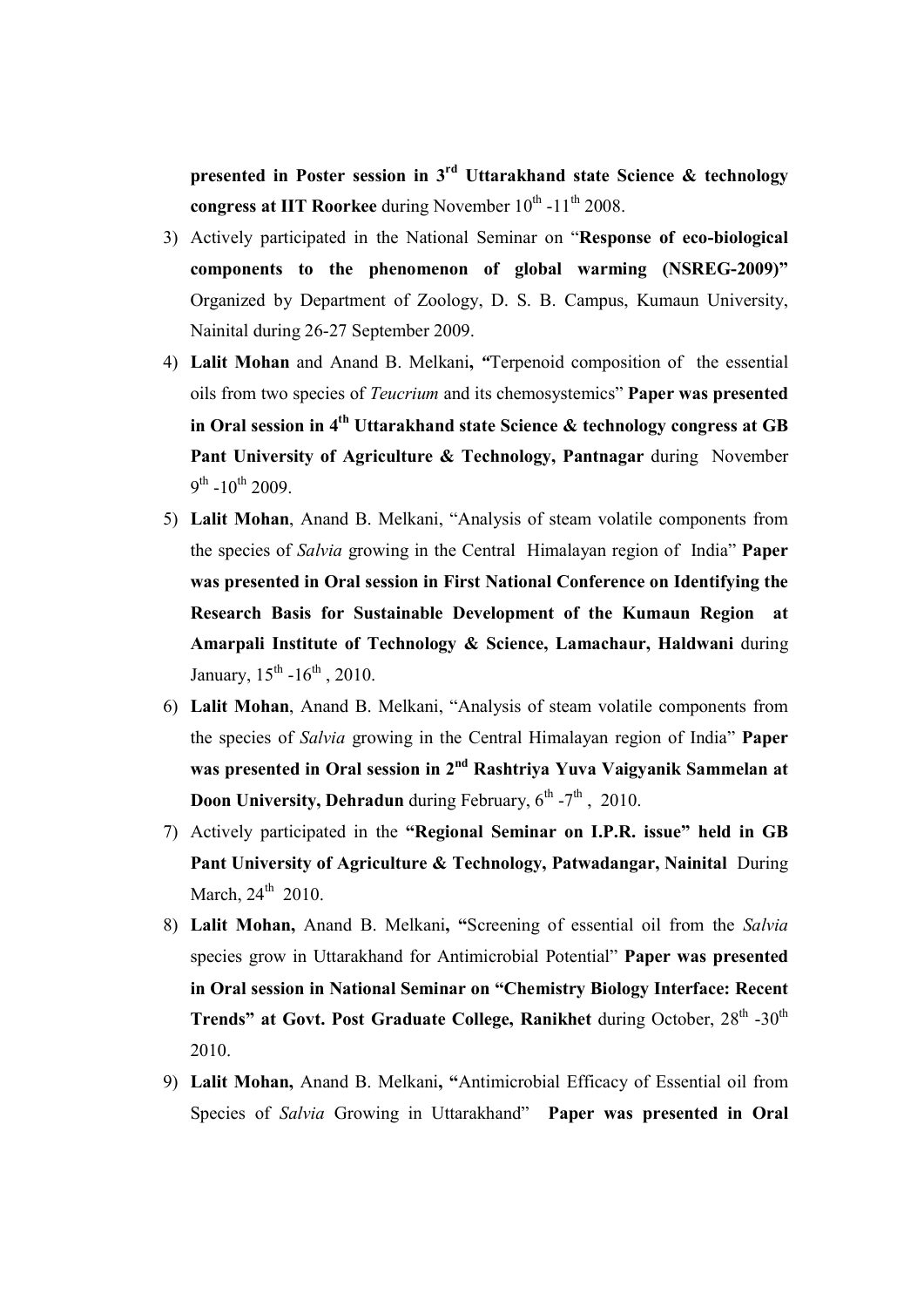presented in Poster session in  $3<sup>rd</sup>$  Uttarakhand state Science & technology congress at IIT Roorkee during November  $10^{th}$  -11<sup>th</sup> 2008.

- 3) Actively participated in the National Seminar on "Response of eco-biological components to the phenomenon of global warming (NSREG-2009)" Organized by Department of Zoology, D. S. B. Campus, Kumaun University, Nainital during 26-27 September 2009.
- 4) Lalit Mohan and Anand B. Melkani, "Terpenoid composition of the essential oils from two species of Teucrium and its chemosystemics" Paper was presented in Oral session in  $4<sup>th</sup> Uttarakhand state Science & technology congress at GB$ Pant University of Agriculture & Technology, Pantnagar during November  $9^{\text{th}}$  -10<sup>th</sup> 2009.
- 5) Lalit Mohan, Anand B. Melkani, "Analysis of steam volatile components from the species of Salvia growing in the Central Himalayan region of India" Paper was presented in Oral session in First National Conference on Identifying the Research Basis for Sustainable Development of the Kumaun Region at Amarpali Institute of Technology & Science, Lamachaur, Haldwani during January,  $15^{th}$  - $16^{th}$ , 2010.
- 6) Lalit Mohan, Anand B. Melkani, "Analysis of steam volatile components from the species of Salvia growing in the Central Himalayan region of India" Paper was presented in Oral session in 2<sup>nd</sup> Rashtriya Yuva Vaigyanik Sammelan at **Doon University, Dehradun** during February,  $6^{th}$  -7<sup>th</sup>, 2010.
- 7) Actively participated in the "Regional Seminar on I.P.R. issue" held in GB Pant University of Agriculture & Technology, Patwadangar, Nainital During March,  $24<sup>th</sup>$  2010.
- 8) Lalit Mohan, Anand B. Melkani, "Screening of essential oil from the Salvia species grow in Uttarakhand for Antimicrobial Potential" Paper was presented in Oral session in National Seminar on "Chemistry Biology Interface: Recent Trends" at Govt. Post Graduate College, Ranikhet during October,  $28<sup>th</sup>$  -30<sup>th</sup> 2010.
- 9) Lalit Mohan, Anand B. Melkani, "Antimicrobial Efficacy of Essential oil from Species of Salvia Growing in Uttarakhand" Paper was presented in Oral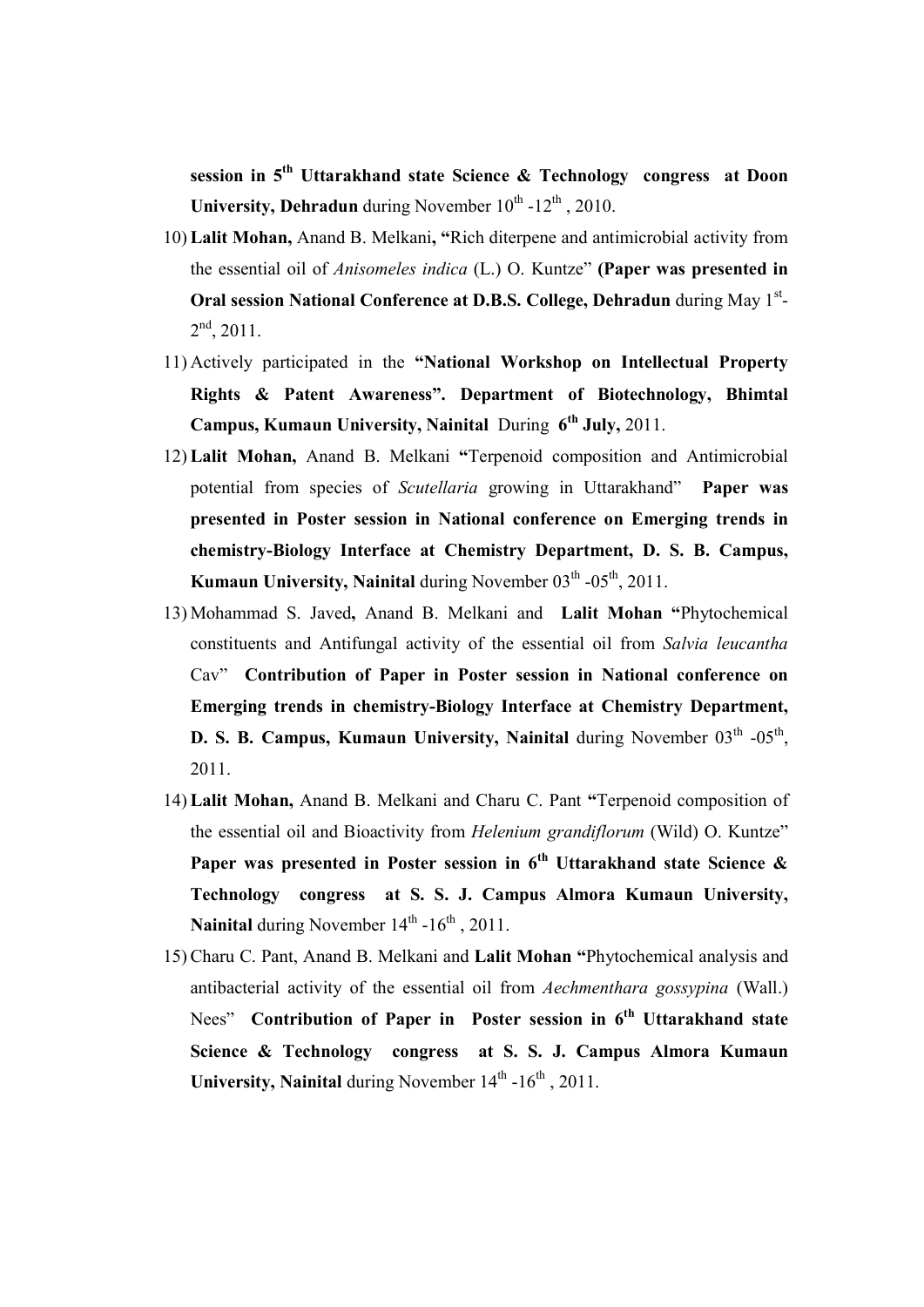session in 5<sup>th</sup> Uttarakhand state Science & Technology congress at Doon University, Dehradun during November  $10^{th}$  -12<sup>th</sup>, 2010.

- 10) Lalit Mohan, Anand B. Melkani, "Rich diterpene and antimicrobial activity from the essential oil of *Anisomeles indica* (L.) O. Kuntze" (Paper was presented in Oral session National Conference at D.B.S. College, Dehradun during May 1st- $2<sup>nd</sup>$ , 2011.
- 11) Actively participated in the "National Workshop on Intellectual Property Rights & Patent Awareness". Department of Biotechnology, Bhimtal Campus, Kumaun University, Nainital During  $6<sup>th</sup>$  July, 2011.
- 12) Lalit Mohan, Anand B. Melkani "Terpenoid composition and Antimicrobial potential from species of Scutellaria growing in Uttarakhand" Paper was presented in Poster session in National conference on Emerging trends in chemistry-Biology Interface at Chemistry Department, D. S. B. Campus, Kumaun University, Nainital during November  $03<sup>th</sup> -05<sup>th</sup>$ , 2011.
- 13) Mohammad S. Javed, Anand B. Melkani and Lalit Mohan "Phytochemical constituents and Antifungal activity of the essential oil from Salvia leucantha Cav" Contribution of Paper in Poster session in National conference on Emerging trends in chemistry-Biology Interface at Chemistry Department, D. S. B. Campus, Kumaun University, Nainital during November  $03<sup>th</sup> -05<sup>th</sup>$ , 2011.
- 14) Lalit Mohan, Anand B. Melkani and Charu C. Pant "Terpenoid composition of the essential oil and Bioactivity from Helenium grandiflorum (Wild) O. Kuntze" Paper was presented in Poster session in  $6<sup>th</sup>$  Uttarakhand state Science & Technology congress at S. S. J. Campus Almora Kumaun University, Nainital during November  $14<sup>th</sup> - 16<sup>th</sup>$ , 2011.
- 15) Charu C. Pant, Anand B. Melkani and Lalit Mohan "Phytochemical analysis and antibacterial activity of the essential oil from Aechmenthara gossypina (Wall.) Nees" Contribution of Paper in Poster session in 6<sup>th</sup> Uttarakhand state Science & Technology congress at S. S. J. Campus Almora Kumaun University, Nainital during November  $14<sup>th</sup> - 16<sup>th</sup>$ , 2011.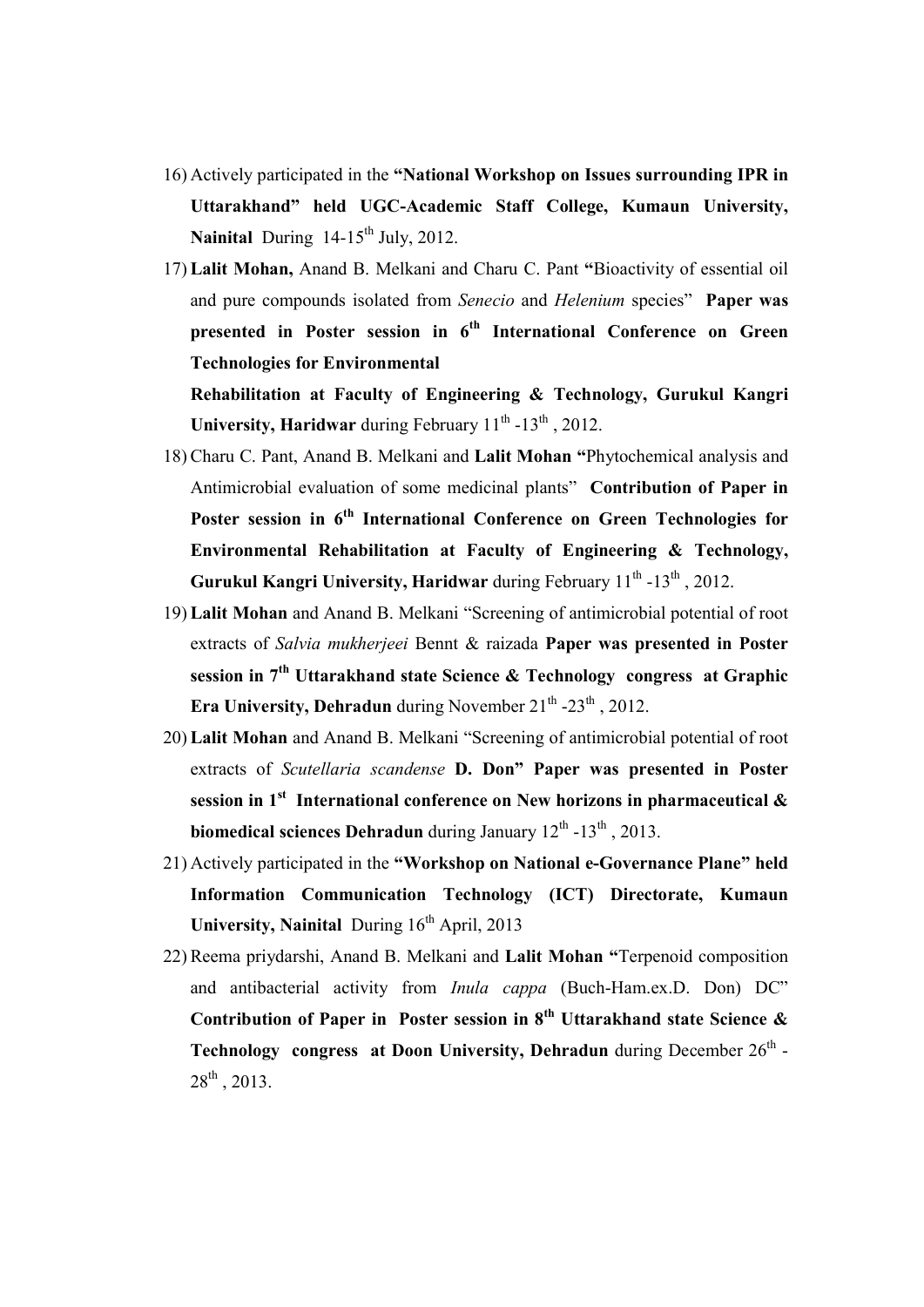- 16) Actively participated in the "National Workshop on Issues surrounding IPR in Uttarakhand" held UGC-Academic Staff College, Kumaun University, Nainital During  $14-15^{th}$  July, 2012.
- 17) Lalit Mohan, Anand B. Melkani and Charu C. Pant "Bioactivity of essential oil and pure compounds isolated from Senecio and Helenium species" Paper was presented in Poster session in 6<sup>th</sup> International Conference on Green Technologies for Environmental

Rehabilitation at Faculty of Engineering & Technology, Gurukul Kangri University, Haridwar during February  $11^{th}$  -13<sup>th</sup>, 2012.

- 18) Charu C. Pant, Anand B. Melkani and Lalit Mohan "Phytochemical analysis and Antimicrobial evaluation of some medicinal plants" Contribution of Paper in Poster session in 6<sup>th</sup> International Conference on Green Technologies for Environmental Rehabilitation at Faculty of Engineering & Technology, Gurukul Kangri University, Haridwar during February  $11^{th}$  -13<sup>th</sup>, 2012.
- 19) Lalit Mohan and Anand B. Melkani "Screening of antimicrobial potential of root extracts of Salvia mukherjeei Bennt & raizada Paper was presented in Poster session in  $7<sup>th</sup> Uttarakhand state Science & Technology$  congress at Graphic Era University, Dehradun during November  $21^{th}$  - $23^{th}$ , 2012.
- 20) Lalit Mohan and Anand B. Melkani "Screening of antimicrobial potential of root extracts of Scutellaria scandense D. Don" Paper was presented in Poster session in  $1<sup>st</sup>$  International conference on New horizons in pharmaceutical  $\&$ biomedical sciences Dehradun during January  $12^{th}$  -13<sup>th</sup>, 2013.
- 21) Actively participated in the "Workshop on National e-Governance Plane" held Information Communication Technology (ICT) Directorate, Kumaun University, Nainital During  $16<sup>th</sup>$  April, 2013
- 22) Reema priydarshi, Anand B. Melkani and Lalit Mohan "Terpenoid composition and antibacterial activity from Inula cappa (Buch-Ham.ex.D. Don) DC" Contribution of Paper in Poster session in  $8<sup>th</sup>$  Uttarakhand state Science  $\&$ Technology congress at Doon University, Dehradun during December  $26<sup>th</sup>$  - $28^{th}$ , 2013.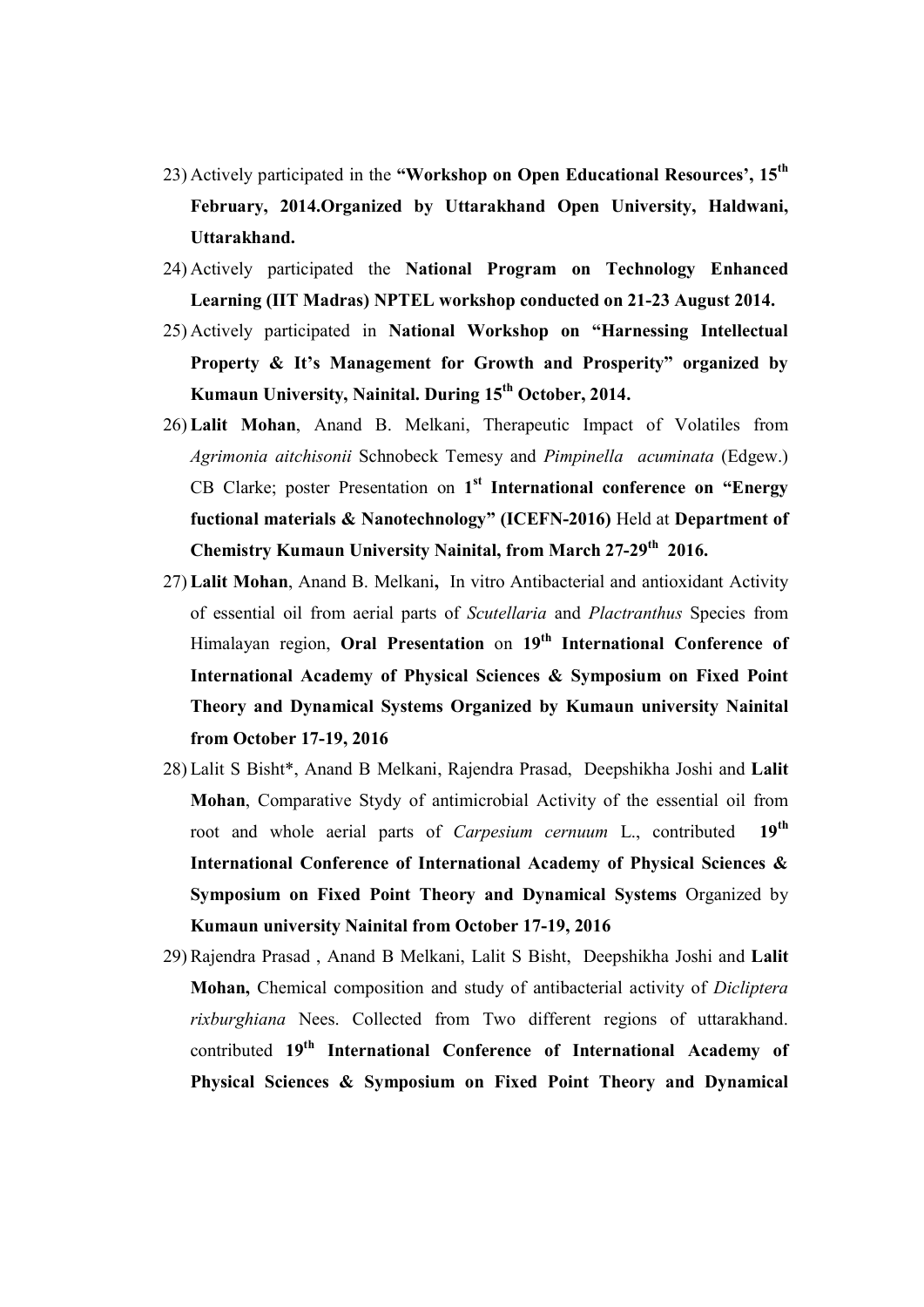- 23) Actively participated in the "Workshop on Open Educational Resources'.  $15<sup>th</sup>$ February, 2014.Organized by Uttarakhand Open University, Haldwani, Uttarakhand.
- 24) Actively participated the National Program on Technology Enhanced Learning (IIT Madras) NPTEL workshop conducted on 21-23 August 2014.
- 25) Actively participated in National Workshop on "Harnessing Intellectual Property & It's Management for Growth and Prosperity" organized by Kumaun University, Nainital. During 15<sup>th</sup> October, 2014.
- 26) Lalit Mohan, Anand B. Melkani, Therapeutic Impact of Volatiles from Agrimonia aitchisonii Schnobeck Temesy and Pimpinella acuminata (Edgew.) CB Clarke; poster Presentation on 1<sup>st</sup> International conference on "Energy fuctional materials & Nanotechnology" (ICEFN-2016) Held at Department of Chemistry Kumaun University Nainital, from March 27-29<sup>th</sup> 2016.
- 27) Lalit Mohan, Anand B. Melkani, In vitro Antibacterial and antioxidant Activity of essential oil from aerial parts of Scutellaria and Plactranthus Species from Himalayan region, Oral Presentation on 19<sup>th</sup> International Conference of International Academy of Physical Sciences & Symposium on Fixed Point Theory and Dynamical Systems Organized by Kumaun university Nainital from October 17-19, 2016
- 28) Lalit S Bisht\*, Anand B Melkani, Rajendra Prasad, Deepshikha Joshi and Lalit Mohan, Comparative Stydy of antimicrobial Activity of the essential oil from root and whole aerial parts of *Carpesium cernuum* L., contributed 19<sup>th</sup> International Conference of International Academy of Physical Sciences & Symposium on Fixed Point Theory and Dynamical Systems Organized by Kumaun university Nainital from October 17-19, 2016
- 29) Rajendra Prasad , Anand B Melkani, Lalit S Bisht, Deepshikha Joshi and Lalit Mohan, Chemical composition and study of antibacterial activity of Dicliptera rixburghiana Nees. Collected from Two different regions of uttarakhand. contributed 19<sup>th</sup> International Conference of International Academy of Physical Sciences & Symposium on Fixed Point Theory and Dynamical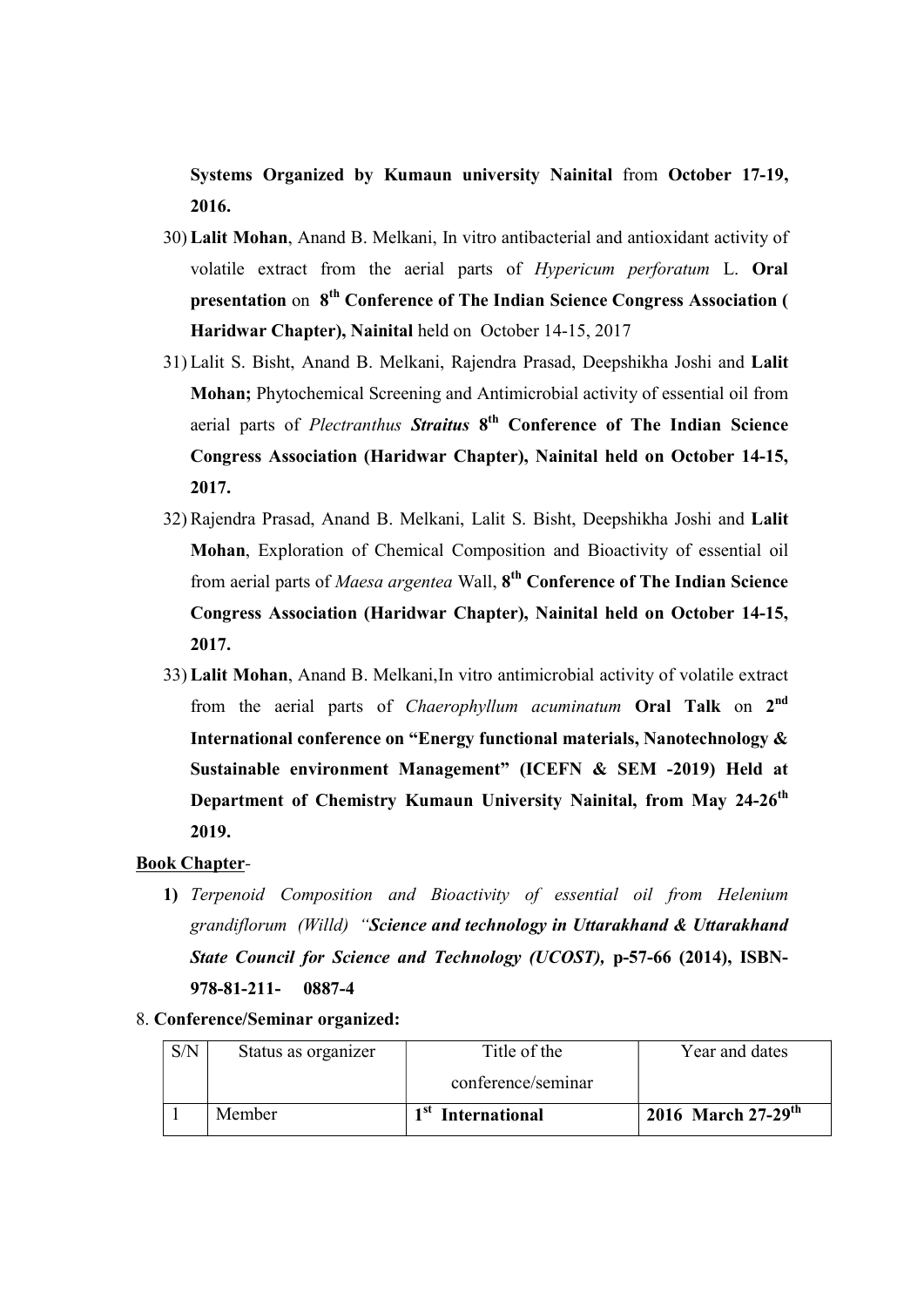Systems Organized by Kumaun university Nainital from October 17-19, 2016.

- 30) Lalit Mohan, Anand B. Melkani, In vitro antibacterial and antioxidant activity of volatile extract from the aerial parts of Hypericum perforatum L. Oral presentation on 8<sup>th</sup> Conference of The Indian Science Congress Association ( Haridwar Chapter), Nainital held on October 14-15, 2017
- 31) Lalit S. Bisht, Anand B. Melkani, Rajendra Prasad, Deepshikha Joshi and Lalit Mohan; Phytochemical Screening and Antimicrobial activity of essential oil from aerial parts of *Plectranthus Straitus* 8<sup>th</sup> Conference of The Indian Science Congress Association (Haridwar Chapter), Nainital held on October 14-15, 2017.
- 32) Rajendra Prasad, Anand B. Melkani, Lalit S. Bisht, Deepshikha Joshi and Lalit Mohan, Exploration of Chemical Composition and Bioactivity of essential oil from aerial parts of *Maesa argentea* Wall, 8<sup>th</sup> Conference of The Indian Science Congress Association (Haridwar Chapter), Nainital held on October 14-15, 2017.
- 33) Lalit Mohan, Anand B. Melkani,In vitro antimicrobial activity of volatile extract from the aerial parts of Chaerophyllum acuminatum Oral Talk on 2<sup>nd</sup> International conference on "Energy functional materials, Nanotechnology & Sustainable environment Management" (ICEFN & SEM -2019) Held at Department of Chemistry Kumaun University Nainital, from May 24-26<sup>th</sup> 2019.

## Book Chapter-

- 1) Terpenoid Composition and Bioactivity of essential oil from Helenium grandiflorum (Willd) "Science and technology in Uttarakhand & Uttarakhand State Council for Science and Technology (UCOST), p-57-66 (2014), ISBN-978-81-211- 0887-4
- 8. Conference/Seminar organized:

| S/N | Status as organizer | Title of the                  | Year and dates                 |
|-----|---------------------|-------------------------------|--------------------------------|
|     |                     | conference/seminar            |                                |
|     | Member              | 1 <sup>st</sup> International | 2016 March 27-29 <sup>th</sup> |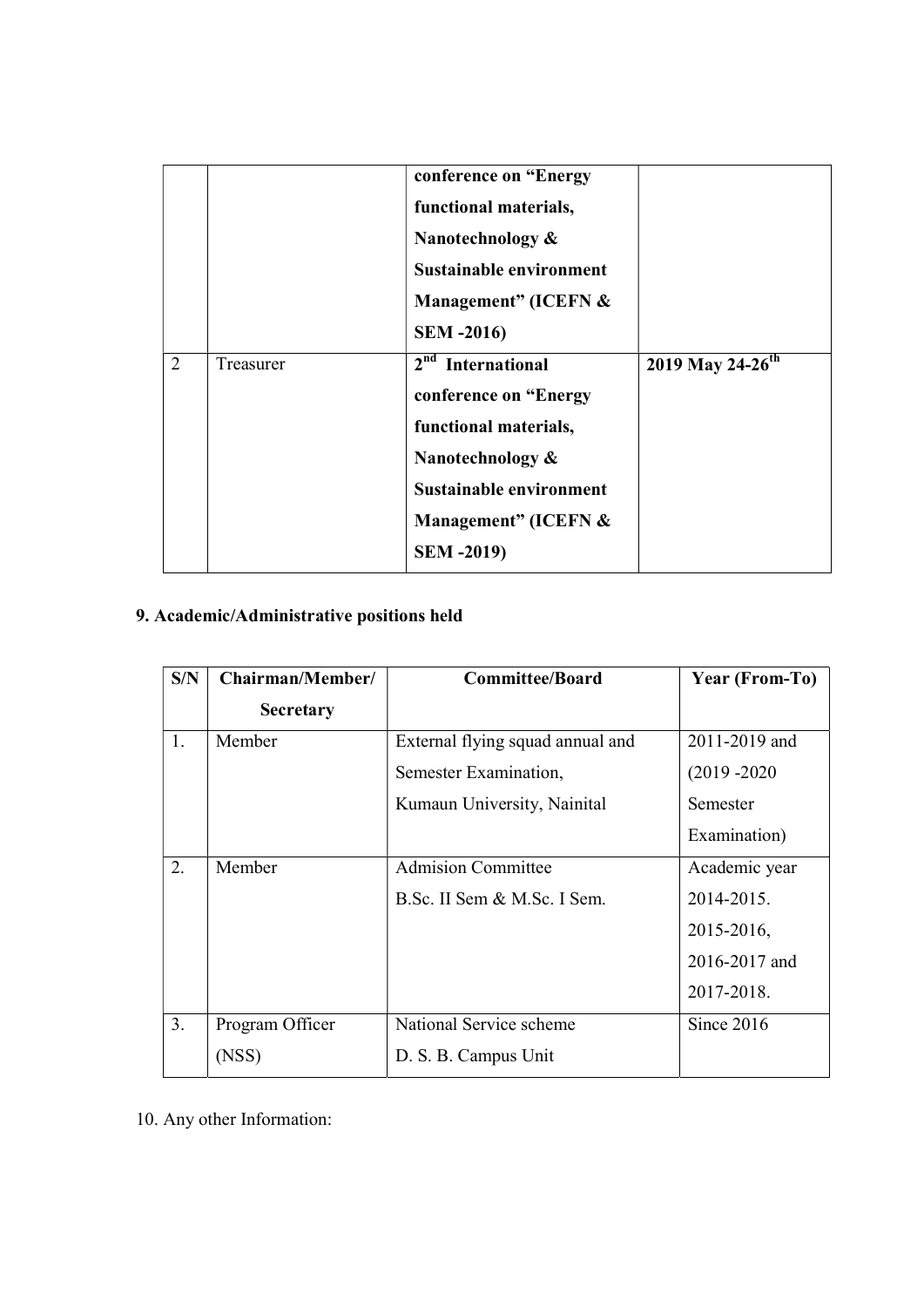|   |           | conference on "Energy<br>functional materials,<br>Nanotechnology $\&$<br>Sustainable environment<br>Management" (ICEFN &<br><b>SEM -2016)</b>                                      |                              |
|---|-----------|------------------------------------------------------------------------------------------------------------------------------------------------------------------------------------|------------------------------|
| 2 | Treasurer | 2 <sup>nd</sup> International<br>conference on "Energy<br>functional materials,<br>Nanotechnology &<br><b>Sustainable environment</b><br>Management" (ICEFN &<br><b>SEM -2019)</b> | 2019 May 24-26 <sup>th</sup> |

# 9. Academic/Administrative positions held

| S/N | Chairman/Member/ | <b>Committee/Board</b>           | Year (From-To)  |
|-----|------------------|----------------------------------|-----------------|
|     | <b>Secretary</b> |                                  |                 |
| 1.  | Member           | External flying squad annual and | 2011-2019 and   |
|     |                  | Semester Examination,            | $(2019 - 2020)$ |
|     |                  | Kumaun University, Nainital      | Semester        |
|     |                  |                                  | Examination)    |
| 2.  | Member           | <b>Admision Committee</b>        | Academic year   |
|     |                  | B.Sc. II Sem & M.Sc. I Sem.      | 2014-2015.      |
|     |                  |                                  | 2015-2016,      |
|     |                  |                                  | 2016-2017 and   |
|     |                  |                                  | 2017-2018.      |
| 3.  | Program Officer  | National Service scheme          | Since $2016$    |
|     | (NSS)            | D. S. B. Campus Unit             |                 |

10. Any other Information: